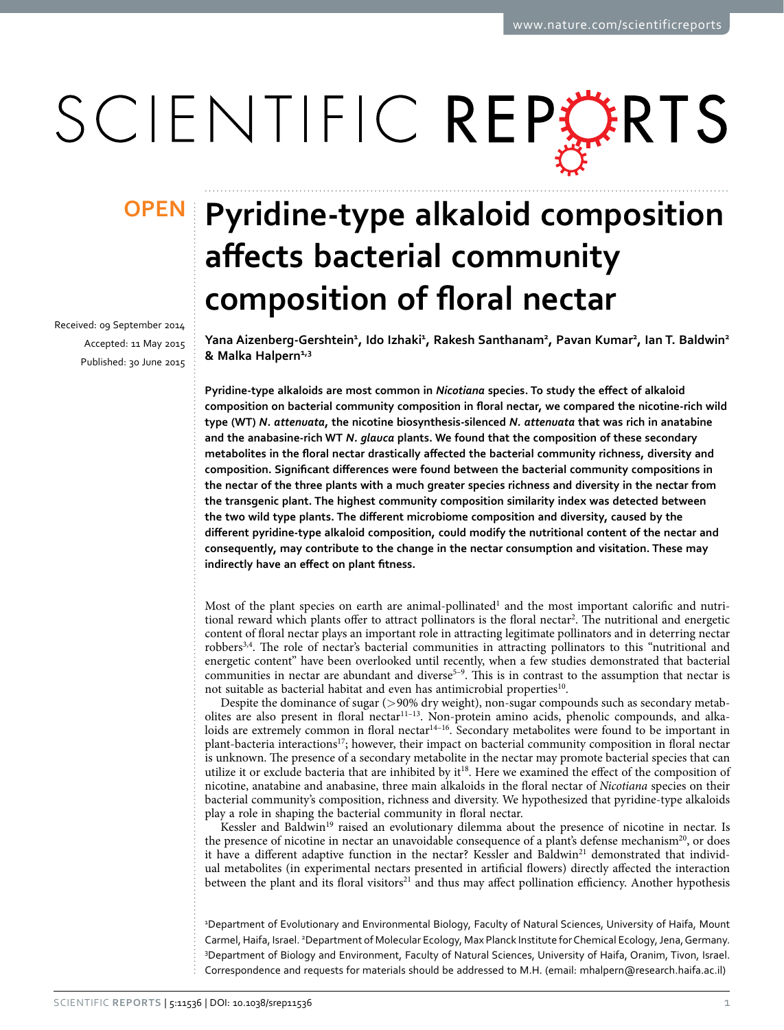# SCIENTIFIC REPERTS

Received: 09 September 2014 accepted: 11 May 2015 Published: 30 June 2015

## **Pyridine-type alkaloid composition OPENaffects bacterial community composition of floral nectar**

**Yana Aizenberg-Gershtein<sup>1</sup> , Ido Izhaki<sup>1</sup> , Rakesh Santhanam<sup>2</sup> , Pavan Kumar<sup>2</sup> , Ian T. Baldwin2**  $&$  Malka Halpern<sup>1,3</sup>

**Pyridine-type alkaloids are most common in** *Nicotiana* **species. To study the effect of alkaloid composition on bacterial community composition in floral nectar, we compared the nicotine-rich wild type (WT)** *N. attenuata***, the nicotine biosynthesis-silenced** *N. attenuata* **that was rich in anatabine and the anabasine-rich WT** *N. glauca* **plants. We found that the composition of these secondary metabolites in the floral nectar drastically affected the bacterial community richness, diversity and composition. Significant differences were found between the bacterial community compositions in the nectar of the three plants with a much greater species richness and diversity in the nectar from the transgenic plant. The highest community composition similarity index was detected between the two wild type plants. The different microbiome composition and diversity, caused by the different pyridine-type alkaloid composition, could modify the nutritional content of the nectar and consequently, may contribute to the change in the nectar consumption and visitation. These may indirectly have an effect on plant fitness.**

Most of the plant species on earth are animal-pollinated<sup>[1](#page-8-0)</sup> and the most important calorific and nutritional reward which plants offer to attract pollinators is the floral nectar<sup>2</sup>. The nutritional and energetic content of floral nectar plays an important role in attracting legitimate pollinators and in deterring nectar robbers[3](#page-8-2),[4.](#page-8-3) The role of nectar's bacterial communities in attracting pollinators to this "nutritional and energetic content" have been overlooked until recently, when a few studies demonstrated that bacterial communities in nectar are abundant and diverse<sup>5-9</sup>. This is in contrast to the assumption that nectar is not suitable as bacterial habitat and even has antimicrobial properties<sup>10</sup>.

Despite the dominance of sugar (>90% dry weight), non-sugar compounds such as secondary metabolites are also present in floral necta[r11–13](#page-8-6). Non-protein amino acids, phenolic compounds, and alkaloids are extremely common in floral nectar<sup>14–16</sup>. Secondary metabolites were found to be important in plant-bacteria interaction[s17](#page-9-1); however, their impact on bacterial community composition in floral nectar is unknown. The presence of a secondary metabolite in the nectar may promote bacterial species that can utilize it or exclude bacteria that are inhibited by i[t18](#page-9-2). Here we examined the effect of the composition of nicotine, anatabine and anabasine, three main alkaloids in the floral nectar of *Nicotiana* species on their bacterial community's composition, richness and diversity. We hypothesized that pyridine-type alkaloids play a role in shaping the bacterial community in floral nectar.

Kessler and Baldwin<sup>19</sup> raised an evolutionary dilemma about the presence of nicotine in nectar. Is the presence of nicotine in nectar an unavoidable consequence of a plant's defense mechanism<sup>20</sup>, or does it have a different adaptive function in the nectar? Kessler and Baldwin<sup>21</sup> demonstrated that individual metabolites (in experimental nectars presented in artificial flowers) directly affected the interaction between the plant and its floral visitors<sup>[21](#page-9-5)</sup> and thus may affect pollination efficiency. Another hypothesis

1 Department of Evolutionary and Environmental Biology, Faculty of Natural Sciences, University of Haifa, Mount Carmel, Haifa, Israel. <sup>2</sup>Department of Molecular Ecology, Max Planck Institute for Chemical Ecology, Jena, Germany. 3 Department of Biology and Environment, Faculty of Natural Sciences, University of Haifa, Oranim, Tivon, Israel. Correspondence and requests for materials should be addressed to M.H. (email: [mhalpern@research.haifa.ac.il\)](mailto:mhalpern@research.haifa.ac.il)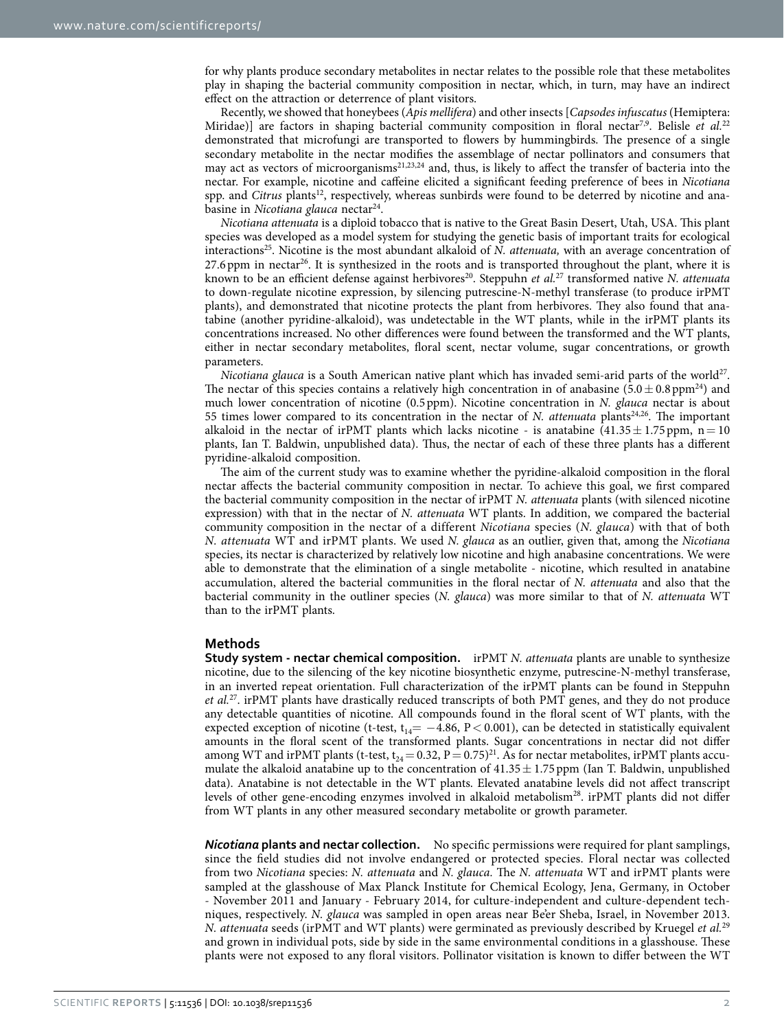for why plants produce secondary metabolites in nectar relates to the possible role that these metabolites play in shaping the bacterial community composition in nectar, which, in turn, may have an indirect effect on the attraction or deterrence of plant visitors.

Recently, we showed that honeybees (*Apis mellifera*) and other insects [*Capsodes infuscatus* (Hemiptera: Miridae)] are factors in shaping bacterial community composition in floral nectar<sup>[7](#page-8-7)[,9](#page-8-8)</sup>. Belisle *et al.*<sup>[22](#page-9-6)</sup> demonstrated that microfungi are transported to flowers by hummingbirds. The presence of a single secondary metabolite in the nectar modifies the assemblage of nectar pollinators and consumers that may act as vectors of microorganisms[21](#page-9-5)[,23](#page-9-7),[24](#page-9-8) and, thus, is likely to affect the transfer of bacteria into the nectar. For example, nicotine and caffeine elicited a significant feeding preference of bees in *Nicotiana* spp. and *Citrus* plants<sup>12</sup>, respectively, whereas sunbirds were found to be deterred by nicotine and anabasine in *Nicotiana glauca* nectar<sup>24</sup>.

*Nicotiana attenuata* is a diploid tobacco that is native to the Great Basin Desert, Utah, USA. This plant species was developed as a model system for studying the genetic basis of important traits for ecological interactions<sup>25</sup>. Nicotine is the most abundant alkaloid of *N. attenuata*, with an average concentration of  $27.6$  ppm in nectar<sup>26</sup>. It is synthesized in the roots and is transported throughout the plant, where it is known to be an efficient defense against herbivores<sup>20</sup>. Steppuhn *et al.*<sup>[27](#page-9-11)</sup> transformed native *N. attenuata* to down-regulate nicotine expression, by silencing putrescine-N-methyl transferase (to produce irPMT plants), and demonstrated that nicotine protects the plant from herbivores. They also found that anatabine (another pyridine-alkaloid), was undetectable in the WT plants, while in the irPMT plants its concentrations increased. No other differences were found between the transformed and the WT plants, either in nectar secondary metabolites, floral scent, nectar volume, sugar concentrations, or growth parameters.

*Nicotiana glauca* is a South American native plant which has invaded semi-arid parts of the world<sup>[27](#page-9-11)</sup>. The nectar of this species contains a relatively high concentration in of anabasine (5.0 $\pm$  0.8 ppm<sup>24</sup>) and much lower concentration of nicotine (0.5ppm). Nicotine concentration in *N. glauca* nectar is about 55 times lower compared to its concentration in the nectar of *N. attenuata* plants<sup>24,26</sup>. The important alkaloid in the nectar of irPMT plants which lacks nicotine - is anatabine  $(41.35 \pm 1.75 \text{ ppm}, n=10$ plants, Ian T. Baldwin, unpublished data). Thus, the nectar of each of these three plants has a different pyridine-alkaloid composition.

The aim of the current study was to examine whether the pyridine-alkaloid composition in the floral nectar affects the bacterial community composition in nectar. To achieve this goal, we first compared the bacterial community composition in the nectar of irPMT *N. attenuata* plants (with silenced nicotine expression) with that in the nectar of *N. attenuata* WT plants. In addition, we compared the bacterial community composition in the nectar of a different *Nicotiana* species (*N. glauca*) with that of both *N. attenuata* WT and irPMT plants. We used *N. glauca* as an outlier, given that, among the *Nicotiana* species, its nectar is characterized by relatively low nicotine and high anabasine concentrations. We were able to demonstrate that the elimination of a single metabolite - nicotine, which resulted in anatabine accumulation, altered the bacterial communities in the floral nectar of *N. attenuata* and also that the bacterial community in the outliner species (*N. glauca*) was more similar to that of *N. attenuata* WT than to the irPMT plants.

#### **Methods**

**Study system - nectar chemical composition.** irPMT *N. attenuata* plants are unable to synthesize nicotine, due to the silencing of the key nicotine biosynthetic enzyme, putrescine-N-methyl transferase, in an inverted repeat orientation. Full characterization of the irPMT plants can be found in Steppuhn *et al.*[2](#page-9-10)7. irPMT plants have drastically reduced transcripts of both PMT genes, and they do not produce any detectable quantities of nicotine. All compounds found in the floral scent of WT plants, with the expected exception of nicotine (t-test,  $t_{14}$  = -4.86, P < 0.001), can be detected in statistically equivalent amounts in the floral scent of the transformed plants. Sugar concentrations in nectar did not differ among WT and irPMT plants (t-test,  $t_{24} = 0.32$ ,  $P = 0.75)^{21}$  $P = 0.75)^{21}$  $P = 0.75)^{21}$ . As for nectar metabolites, irPMT plants accumulate the alkaloid anatabine up to the concentration of  $41.35 \pm 1.75$  ppm (Ian T. Baldwin, unpublished data). Anatabine is not detectable in the WT plants. Elevated anatabine levels did not affect transcript levels of other gene-encoding enzymes involved in alkaloid metabolism<sup>28</sup>. irPMT plants did not differ from WT plants in any other measured secondary metabolite or growth parameter.

*Nicotiana* **plants and nectar collection.** No specific permissions were required for plant samplings, since the field studies did not involve endangered or protected species. Floral nectar was collected from two *Nicotiana* species: *N. attenuata* and *N. glauca.* The *N. attenuata* WT and irPMT plants were sampled at the glasshouse of Max Planck Institute for Chemical Ecology, Jena, Germany, in October - November 2011 and January - February 2014, for culture-independent and culture-dependent techniques, respectively. *N. glauca* was sampled in open areas near Be'er Sheba, Israel, in November 2013. *N. attenuata* seeds (irPMT and WT plants) were germinated as previously described by Kruegel *et al.*[29](#page-9-13) and grown in individual pots, side by side in the same environmental conditions in a glasshouse. These plants were not exposed to any floral visitors. Pollinator visitation is known to differ between the WT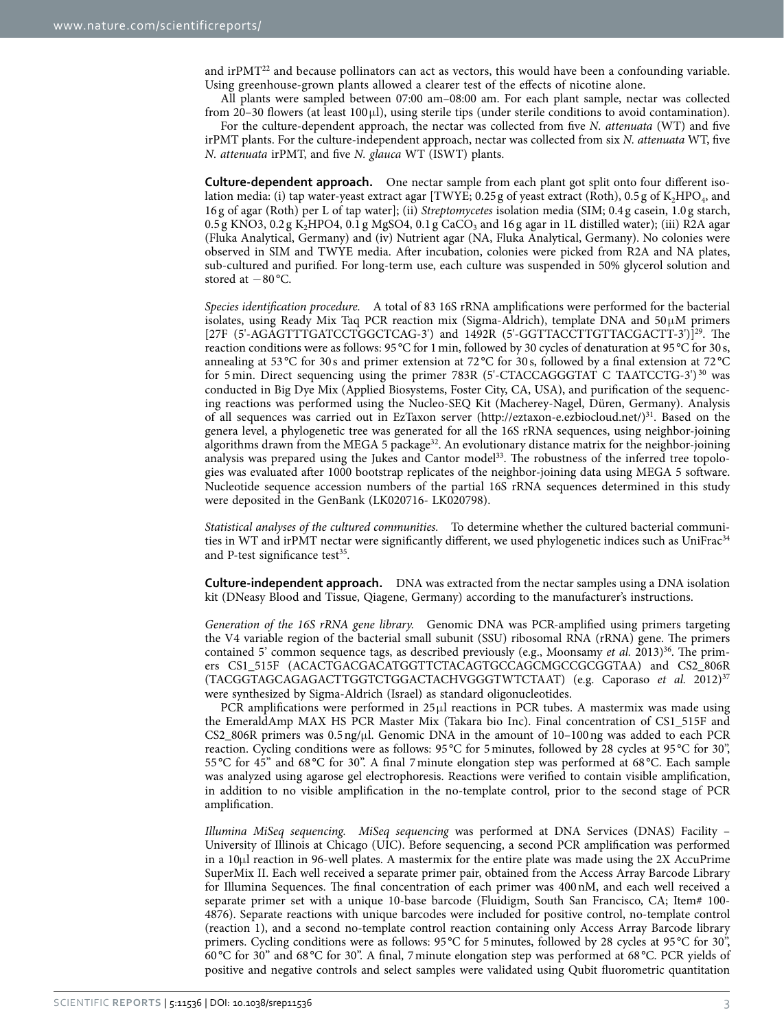and irPMT<sup>22</sup> and because pollinators can act as vectors, this would have been a confounding variable. Using greenhouse-grown plants allowed a clearer test of the effects of nicotine alone.

All plants were sampled between 07:00 am–08:00 am. For each plant sample, nectar was collected from 20–30 flowers (at least 100μl), using sterile tips (under sterile conditions to avoid contamination).

For the culture-dependent approach, the nectar was collected from five *N. attenuata* (WT) and five irPMT plants. For the culture-independent approach, nectar was collected from six *N. attenuata* WT, five *N. attenuata* irPMT, and five *N. glauca* WT (ISWT) plants.

**Culture-dependent approach.** One nectar sample from each plant got split onto four different isolation media: (i) tap water-yeast extract agar [TWYE; 0.25 g of yeast extract (Roth), 0.5 g of K<sub>2</sub>HPO<sub>4</sub>, and 16 g of agar (Roth) per L of tap water]; (ii) *Streptomycetes* isolation media (SIM; 0.4 g casein, 1.0 g starch,  $0.5$  g KNO3,  $0.2$  g K<sub>2</sub>HPO4,  $0.1$  g MgSO4,  $0.1$  g CaCO<sub>3</sub> and 16 g agar in 1L distilled water); (iii) R2A agar (Fluka Analytical, Germany) and (iv) Nutrient agar (NA, Fluka Analytical, Germany). No colonies were observed in SIM and TWYE media. After incubation, colonies were picked from R2A and NA plates, sub-cultured and purified. For long-term use, each culture was suspended in 50% glycerol solution and stored at −80 °C.

*Species identification procedure.* A total of 83 16S rRNA amplifications were performed for the bacterial isolates, using Ready Mix Taq PCR reaction mix (Sigma-Aldrich), template DNA and  $50\mu$ M primers [27F (5'-AGAGTTTGATCCTGGCTCAG-3') and 1492R (5'-GGTTACCTTGTTACGACTT-3')]<sup>29</sup>. The reaction conditions were as follows: 95 °C for 1min, followed by 30 cycles of denaturation at 95 °C for 30 s, annealing at 53 °C for 30 s and primer extension at 72 °C for 30 s, followed by a final extension at 72 °C for 5min. Direct sequencing using the primer 783R (5'-CTACCAGGGTAT C TAATCCTG-3') [30](#page-9-14) was conducted in Big Dye Mix (Applied Biosystems, Foster City, CA, USA), and purification of the sequencing reactions was performed using the Nucleo-SEQ Kit (Macherey-Nagel, Düren, Germany). Analysis of all sequences was carried out in EzTaxon server (<http://eztaxon-e.ezbiocloud.net/>)[31.](#page-9-15) Based on the genera level, a phylogenetic tree was generated for all the 16S rRNA sequences, using neighbor-joining algorithms drawn from the MEGA 5 package<sup>32</sup>. An evolutionary distance matrix for the neighbor-joining analysis was prepared using the Jukes and Cantor model<sup>33</sup>. The robustness of the inferred tree topologies was evaluated after 1000 bootstrap replicates of the neighbor-joining data using MEGA 5 software. Nucleotide sequence accession numbers of the partial 16S rRNA sequences determined in this study were deposited in the GenBank (LK020716- LK020798).

*Statistical analyses of the cultured communities.* To determine whether the cultured bacterial communi-ties in WT and irPMT nectar were significantly different, we used phylogenetic indices such as UniFrac<sup>[34](#page-9-18)</sup> and P-test significance test $35$ .

**Culture-independent approach.** DNA was extracted from the nectar samples using a DNA isolation kit (DNeasy Blood and Tissue, Qiagene, Germany) according to the manufacturer's instructions.

*Generation of the 16S rRNA gene library.* Genomic DNA was PCR-amplified using primers targeting the V4 variable region of the bacterial small subunit (SSU) ribosomal RNA (rRNA) gene. The primers contained 5' common sequence tags, as described previously (e.g., Moonsamy *et al.* 2013)<sup>36</sup>. The primers CS1\_515F (ACACTGACGACATGGTTCTACAGTGCCAGCMGCCGCGGTAA) and CS2\_806R (TACGGTAGCAGAGACTTGGTCTGGACTACHVGGGTWTCTAAT) (e.g. Caporaso *et al.* 2012)[37](#page-9-21) were synthesized by Sigma-Aldrich (Israel) as standard oligonucleotides.

PCR amplifications were performed in 25μl reactions in PCR tubes. A mastermix was made using the EmeraldAmp MAX HS PCR Master Mix (Takara bio Inc). Final concentration of CS1\_515F and CS2\_806R primers was  $0.5 \frac{\text{ng}}{\mu}$ . Genomic DNA in the amount of  $10-100 \frac{\text{ng}}{\text{g}}$  was added to each PCR reaction. Cycling conditions were as follows: 95 °C for 5minutes, followed by 28 cycles at 95 °C for 30", 55 °C for 45" and 68 °C for 30". A final 7minute elongation step was performed at 68 °C. Each sample was analyzed using agarose gel electrophoresis. Reactions were verified to contain visible amplification, in addition to no visible amplification in the no-template control, prior to the second stage of PCR amplification.

*Illumina MiSeq sequencing. MiSeq sequencing* was performed at DNA Services (DNAS) Facility – University of Illinois at Chicago (UIC). Before sequencing, a second PCR amplification was performed in a 10μl reaction in 96-well plates. A mastermix for the entire plate was made using the 2X AccuPrime SuperMix II. Each well received a separate primer pair, obtained from the Access Array Barcode Library for Illumina Sequences. The final concentration of each primer was 400nM, and each well received a separate primer set with a unique 10-base barcode (Fluidigm, South San Francisco, CA; Item# 100-4876). Separate reactions with unique barcodes were included for positive control, no-template control (reaction 1), and a second no-template control reaction containing only Access Array Barcode library primers. Cycling conditions were as follows: 95 °C for 5minutes, followed by 28 cycles at 95 °C for 30", 60 °C for 30" and 68 °C for 30". A final, 7minute elongation step was performed at 68 °C. PCR yields of positive and negative controls and select samples were validated using Qubit fluorometric quantitation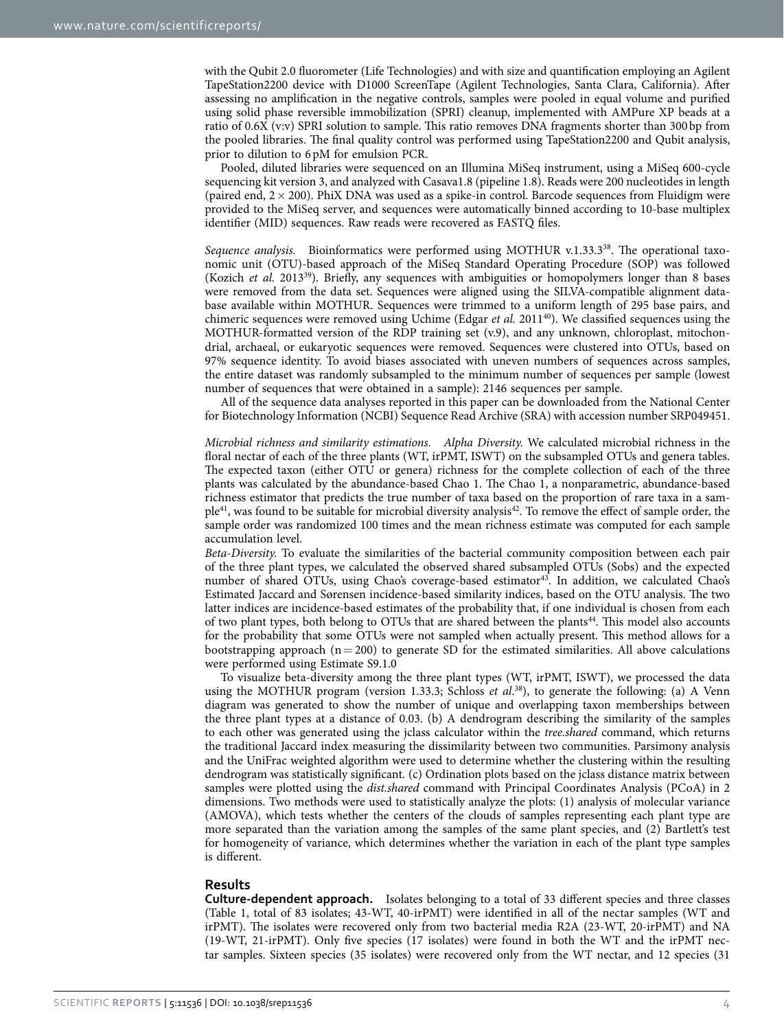with the Qubit 2.0 fluorometer (Life Technologies) and with size and quantification employing an Agilent TapeStation2200 device with D1000 ScreenTape (Agilent Technologies, Santa Clara, California). After assessing no amplification in the negative controls, samples were pooled in equal volume and purified using solid phase reversible immobilization (SPRI) cleanup, implemented with AMPure XP beads at a ratio of 0.6X (v:v) SPRI solution to sample. This ratio removes DNA fragments shorter than 300bp from the pooled libraries. The final quality control was performed using TapeStation2200 and Qubit analysis, prior to dilution to 6pM for emulsion PCR.

Pooled, diluted libraries were sequenced on an Illumina MiSeq instrument, using a MiSeq 600-cycle sequencing kit version 3, and analyzed with Casava1.8 (pipeline 1.8). Reads were 200 nucleotides in length (paired end,  $2 \times 200$ ). PhiX DNA was used as a spike-in control. Barcode sequences from Fluidigm were provided to the MiSeq server, and sequences were automatically binned according to 10-base multiplex identifier (MID) sequences. Raw reads were recovered as FASTQ files.

Sequence analysis. Bioinformatics were performed using MOTHUR v.1.33.3<sup>38</sup>. The operational taxonomic unit (OTU)-based approach of the MiSeq Standard Operating Procedure (SOP) was followed (Kozich *et al.* 2013[39\)](#page-9-23). Briefly, any sequences with ambiguities or homopolymers longer than 8 bases were removed from the data set. Sequences were aligned using the SILVA-compatible alignment database available within MOTHUR. Sequences were trimmed to a uniform length of 295 base pairs, and chimeric sequences were removed using Uchime (Edgar *et al.* 2011<sup>40</sup>). We classified sequences using the MOTHUR-formatted version of the RDP training set (v.9), and any unknown, chloroplast, mitochondrial, archaeal, or eukaryotic sequences were removed. Sequences were clustered into OTUs, based on 97% sequence identity. To avoid biases associated with uneven numbers of sequences across samples, the entire dataset was randomly subsampled to the minimum number of sequences per sample (lowest number of sequences that were obtained in a sample): 2146 sequences per sample.

All of the sequence data analyses reported in this paper can be downloaded from the National Center for Biotechnology Information (NCBI) Sequence Read Archive (SRA) with accession number SRP049451.

*Microbial richness and similarity estimations. Alpha Diversity.* We calculated microbial richness in the floral nectar of each of the three plants (WT, irPMT, ISWT) on the subsampled OTUs and genera tables. The expected taxon (either OTU or genera) richness for the complete collection of each of the three plants was calculated by the abundance-based Chao 1. The Chao 1, a nonparametric, abundance-based richness estimator that predicts the true number of taxa based on the proportion of rare taxa in a sam $ple<sup>41</sup>$ , was found to be suitable for microbial diversity analysis<sup>42</sup>. To remove the effect of sample order, the sample order was randomized 100 times and the mean richness estimate was computed for each sample accumulation level.

*Beta-Diversity.* To evaluate the similarities of the bacterial community composition between each pair of the three plant types, we calculated the observed shared subsampled OTUs (Sobs) and the expected number of shared OTUs, using Chao's coverage-based estimator<sup>43</sup>. In addition, we calculated Chao's Estimated Jaccard and Sørensen incidence-based similarity indices, based on the OTU analysis. The two latter indices are incidence-based estimates of the probability that, if one individual is chosen from each of two plant types, both belong to OTUs that are shared between the plants<sup>44</sup>. This model also accounts for the probability that some OTUs were not sampled when actually present. This method allows for a bootstrapping approach ( $n = 200$ ) to generate SD for the estimated similarities. All above calculations were performed using Estimate S9.1.0

To visualize beta-diversity among the three plant types (WT, irPMT, ISWT), we processed the data using the MOTHUR program (version 1.33.3; Schloss *et al.*<sup>38</sup>), to generate the following: (a) A Venn diagram was generated to show the number of unique and overlapping taxon memberships between the three plant types at a distance of 0.03. (b) A dendrogram describing the similarity of the samples to each other was generated using the jclass calculator within the *tree.shared* command, which returns the traditional Jaccard index measuring the dissimilarity between two communities. Parsimony analysis and the UniFrac weighted algorithm were used to determine whether the clustering within the resulting dendrogram was statistically significant. (c) Ordination plots based on the jclass distance matrix between samples were plotted using the *dist.shared* command with Principal Coordinates Analysis (PCoA) in 2 dimensions. Two methods were used to statistically analyze the plots: (1) analysis of molecular variance (AMOVA), which tests whether the centers of the clouds of samples representing each plant type are more separated than the variation among the samples of the same plant species, and (2) Bartlett's test for homogeneity of variance, which determines whether the variation in each of the plant type samples is different.

#### **Results**

**Culture-dependent approach.** Isolates belonging to a total of 33 different species and three classes ([Table 1](#page-4-0), total of 83 isolates; 43-WT, 40-irPMT) were identified in all of the nectar samples (WT and irPMT). The isolates were recovered only from two bacterial media R2A (23-WT, 20-irPMT) and NA (19-WT, 21-irPMT). Only five species (17 isolates) were found in both the WT and the irPMT nectar samples. Sixteen species (35 isolates) were recovered only from the WT nectar, and 12 species (31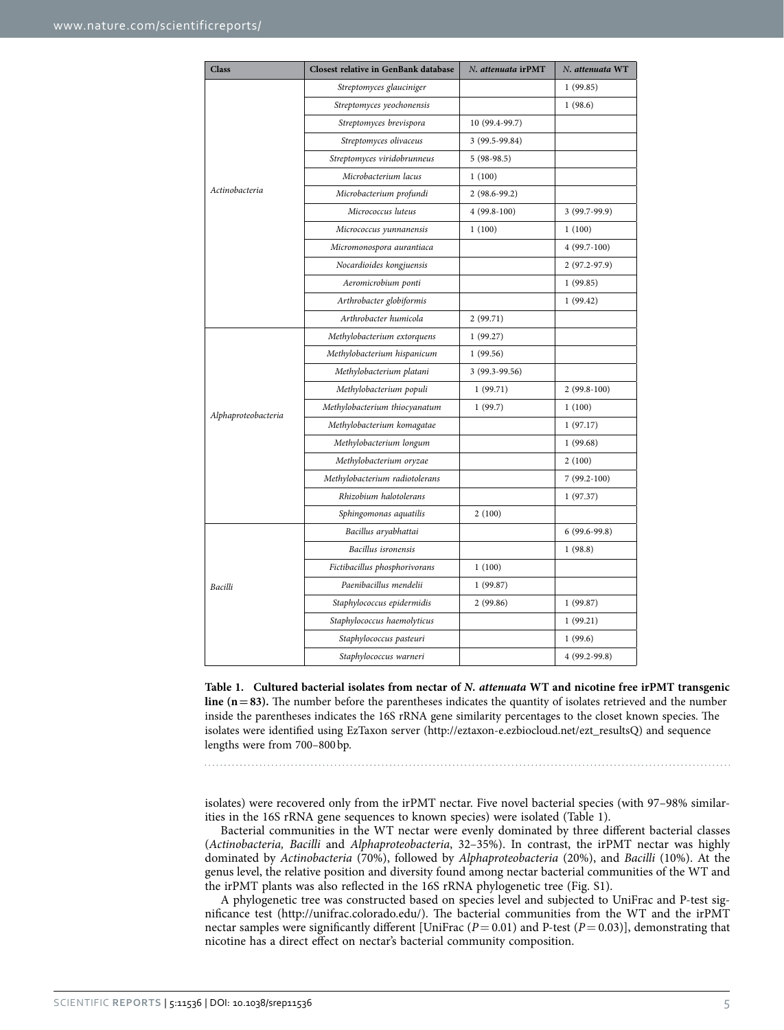<span id="page-4-0"></span>

| <b>Class</b>        | <b>Closest relative in GenBank database</b> | N. attenuata irPMT | N. attenuata WT |
|---------------------|---------------------------------------------|--------------------|-----------------|
|                     | Streptomyces glauciniger                    |                    | 1(99.85)        |
|                     | Streptomyces yeochonensis                   |                    | 1(98.6)         |
|                     | Streptomyces brevispora                     | 10 (99.4-99.7)     |                 |
|                     | Streptomyces olivaceus                      | 3 (99.5-99.84)     |                 |
|                     | Streptomyces viridobrunneus                 | $5(98-98.5)$       |                 |
|                     | Microbacterium lacus                        | 1(100)             |                 |
| Actinobacteria      | Microbacterium profundi                     | 2 (98.6-99.2)      |                 |
|                     | Micrococcus luteus                          | $4(99.8-100)$      | 3 (99.7-99.9)   |
|                     | Micrococcus yunnanensis                     | 1(100)             | 1(100)          |
|                     | Micromonospora aurantiaca                   |                    | $4(99.7-100)$   |
|                     | Nocardioides kongjuensis                    |                    | $2(97.2-97.9)$  |
|                     | Aeromicrobium ponti                         |                    | 1(99.85)        |
|                     | Arthrobacter globiformis                    |                    | 1(99.42)        |
|                     | Arthrobacter humicola                       | 2(99.71)           |                 |
|                     | Methylobacterium extorquens                 | 1(99.27)           |                 |
|                     | Methylobacterium hispanicum                 | 1(99.56)           |                 |
|                     | Methylobacterium platani                    | 3 (99.3-99.56)     |                 |
|                     | Methylobacterium populi                     | 1(99.71)           | $2(99.8-100)$   |
| Alphaproteobacteria | Methylobacterium thiocyanatum               | 1(99.7)            | 1(100)          |
|                     | Methylobacterium komagatae                  |                    | 1(97.17)        |
|                     | Methylobacterium longum                     |                    | 1(99.68)        |
|                     | Methylobacterium oryzae                     |                    | 2(100)          |
|                     | Methylobacterium radiotolerans              |                    | $7(99.2-100)$   |
|                     | Rhizobium halotolerans                      |                    | 1(97.37)        |
|                     | Sphingomonas aquatilis                      | 2(100)             |                 |
|                     | Bacillus aryabhattai                        |                    | $6(99.6-99.8)$  |
| Bacilli             | Bacillus isronensis                         |                    | 1(98.8)         |
|                     | Fictibacillus phosphorivorans               | 1(100)             |                 |
|                     | Paenibacillus mendelii                      | 1(99.87)           |                 |
|                     | Staphylococcus epidermidis                  | 2(99.86)           | 1(99.87)        |
|                     | Staphylococcus haemolyticus                 |                    | 1(99.21)        |
|                     | Staphylococcus pasteuri                     |                    | 1(99.6)         |
|                     | Staphylococcus warneri                      |                    | 4 (99.2-99.8)   |

**Table 1. Cultured bacterial isolates from nectar of** *N. attenuata* **WT and nicotine free irPMT transgenic line (n=83).** The number before the parentheses indicates the quantity of isolates retrieved and the number inside the parentheses indicates the 16S rRNA gene similarity percentages to the closet known species. The isolates were identified using EzTaxon server ([http://eztaxon-e.ezbiocloud.net/ezt\\_resultsQ](http://eztaxon-e.ezbiocloud.net/ezt_resultsQ)) and sequence lengths were from 700–800bp.

isolates) were recovered only from the irPMT nectar. Five novel bacterial species (with 97–98% similarities in the 16S rRNA gene sequences to known species) were isolated ([Table 1\)](#page-4-0).

Bacterial communities in the WT nectar were evenly dominated by three different bacterial classes (*Actinobacteria, Bacilli* and *Alphaproteobacteria*, 32–35%). In contrast, the irPMT nectar was highly dominated by *Actinobacteria* (70%), followed by *Alphaproteobacteria* (20%), and *Bacilli* (10%). At the genus level, the relative position and diversity found among nectar bacterial communities of the WT and the irPMT plants was also reflected in the 16S rRNA phylogenetic tree (Fig. S1).

A phylogenetic tree was constructed based on species level and subjected to UniFrac and P-test significance test ([http://unifrac.colorado.edu/\)](http://unifrac.colorado.edu/). The bacterial communities from the WT and the irPMT nectar samples were significantly different [UniFrac (*P*= 0.01) and P-test (*P*= 0.03)], demonstrating that nicotine has a direct effect on nectar's bacterial community composition.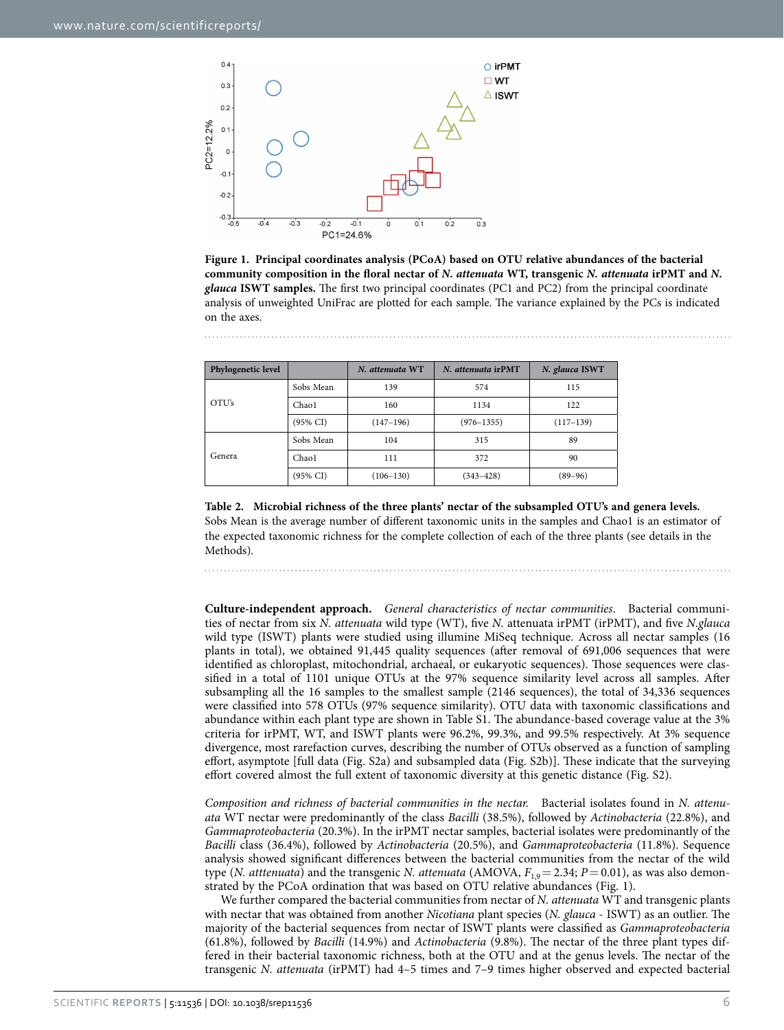

<span id="page-5-0"></span>**Figure 1. Principal coordinates analysis (PCoA) based on OTU relative abundances of the bacterial community composition in the floral nectar of** *N***.** *attenuata* **WT, transgenic** *N. attenuata* **irPMT and** *N***.**  *glauca* **ISWT samples.** The first two principal coordinates (PC1 and PC2) from the principal coordinate analysis of unweighted UniFrac are plotted for each sample. The variance explained by the PCs is indicated on the axes.

<span id="page-5-1"></span>

| Phylogenetic level |                     | N. attenuata WT | N. attenuata irPMT | N. glauca ISWT |
|--------------------|---------------------|-----------------|--------------------|----------------|
| OTU's              | Sobs Mean           | 139             | 574                | 115            |
|                    | Chao1               | 160             | 1134               | 122            |
|                    | $(95\% \text{ CI})$ | $(147-196)$     | $(976 - 1355)$     | $(117-139)$    |
| Genera             | Sobs Mean           | 104             | 315                | 89             |
|                    | Chao1               | 111             | 372                | 90             |
|                    | (95% CI)            | $(106 - 130)$   | $(343 - 428)$      | $(89 - 96)$    |

**Table 2. Microbial richness of the three plants' nectar of the subsampled OTU's and genera levels.** Sobs Mean is the average number of different taxonomic units in the samples and Chao1 is an estimator of the expected taxonomic richness for the complete collection of each of the three plants (see details in the Methods).

**Culture-independent approach.** *General characteristics of nectar communities*. Bacterial communities of nectar from six *N. attenuata* wild type (WT), five *N.* attenuata irPMT (irPMT), and five *N.glauca* wild type (ISWT) plants were studied using illumine MiSeq technique. Across all nectar samples (16 plants in total), we obtained 91,445 quality sequences (after removal of 691,006 sequences that were identified as chloroplast, mitochondrial, archaeal, or eukaryotic sequences). Those sequences were classified in a total of 1101 unique OTUs at the 97% sequence similarity level across all samples. After subsampling all the 16 samples to the smallest sample (2146 sequences), the total of 34,336 sequences were classified into 578 OTUs (97% sequence similarity). OTU data with taxonomic classifications and abundance within each plant type are shown in Table S1. The abundance-based coverage value at the 3% criteria for irPMT, WT, and ISWT plants were 96.2%, 99.3%, and 99.5% respectively. At 3% sequence divergence, most rarefaction curves, describing the number of OTUs observed as a function of sampling effort, asymptote [full data (Fig. S2a) and subsampled data (Fig. S2b)]. These indicate that the surveying effort covered almost the full extent of taxonomic diversity at this genetic distance (Fig. S2).

*Composition and richness of bacterial communities in the nectar.* Bacterial isolates found in *N. attenuata* WT nectar were predominantly of the class *Bacilli* (38.5%), followed by *Actinobacteria* (22.8%), and *Gammaproteobacteria* (20.3%). In the irPMT nectar samples, bacterial isolates were predominantly of the *Bacilli* class (36.4%), followed by *Actinobacteria* (20.5%), and *Gammaproteobacteria* (11.8%). Sequence analysis showed significant differences between the bacterial communities from the nectar of the wild type (*N. atttenuata*) and the transgenic *N. attenuata* (AMOVA,  $F_{1,9} = 2.34$ ;  $P = 0.01$ ), as was also demonstrated by the PCoA ordination that was based on OTU relative abundances ([Fig. 1\)](#page-5-0).

We further compared the bacterial communities from nectar of *N. attenuata* WT and transgenic plants with nectar that was obtained from another *Nicotiana* plant species (*N. glauca* - ISWT) as an outlier. The majority of the bacterial sequences from nectar of ISWT plants were classified as *Gammaproteobacteria* (61.8%), followed by *Bacilli* (14.9%) and *Actinobacteria* (9.8%). The nectar of the three plant types differed in their bacterial taxonomic richness, both at the OTU and at the genus levels. The nectar of the transgenic *N. attenuata* (irPMT) had 4–5 times and 7–9 times higher observed and expected bacterial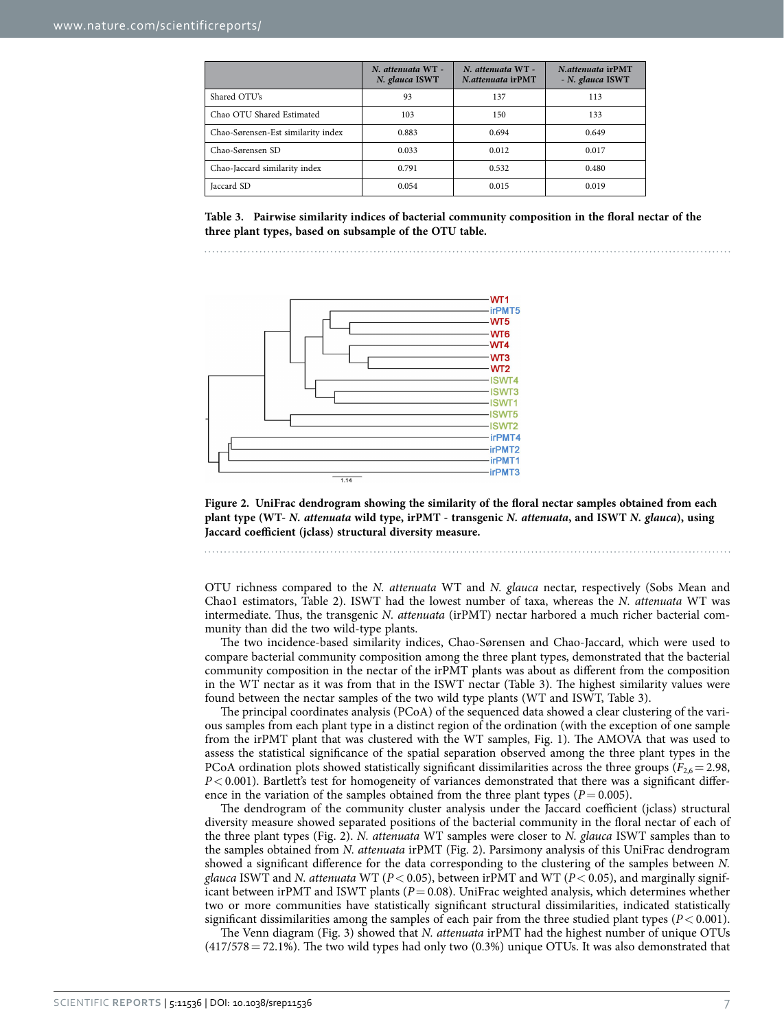<span id="page-6-0"></span>

|                                    | N. attenuata WT -<br>N. glauca ISWT | N. attenuata WT -<br>N.attenuata irPMT | N. attenuata irPMT<br>- N. glauca ISWT |
|------------------------------------|-------------------------------------|----------------------------------------|----------------------------------------|
| Shared OTU's                       | 93                                  | 137                                    | 113                                    |
| Chao OTU Shared Estimated          | 103                                 | 150                                    | 133                                    |
| Chao-Sørensen-Est similarity index | 0.883                               | 0.694                                  | 0.649                                  |
| Chao-Sørensen SD                   | 0.033                               | 0.012                                  | 0.017                                  |
| Chao-Jaccard similarity index      | 0.791                               | 0.532                                  | 0.480                                  |
| Jaccard SD                         | 0.054                               | 0.015                                  | 0.019                                  |

**Table 3. Pairwise similarity indices of bacterial community composition in the floral nectar of the three plant types, based on subsample of the OTU table.**



<span id="page-6-1"></span>**Figure 2. UniFrac dendrogram showing the similarity of the floral nectar samples obtained from each plant type (WT-** *N. attenuata* **wild type, irPMT - transgenic** *N. attenuata***, and ISWT** *N. glauca***), using Jaccard coefficient (jclass) structural diversity measure.** 

OTU richness compared to the *N. attenuata* WT and *N. glauca* nectar, respectively (Sobs Mean and Chao1 estimators, [Table 2](#page-5-1)). ISWT had the lowest number of taxa, whereas the *N. attenuata* WT was intermediate. Thus, the transgenic *N. attenuata* (irPMT) nectar harbored a much richer bacterial community than did the two wild-type plants.

The two incidence-based similarity indices, Chao-Sørensen and Chao-Jaccard, which were used to compare bacterial community composition among the three plant types, demonstrated that the bacterial community composition in the nectar of the irPMT plants was about as different from the composition in the WT nectar as it was from that in the ISWT nectar [\(Table 3](#page-5-1)). The highest similarity values were found between the nectar samples of the two wild type plants (WT and ISWT, [Table 3](#page-6-0)).

The principal coordinates analysis (PCoA) of the sequenced data showed a clear clustering of the various samples from each plant type in a distinct region of the ordination (with the exception of one sample from the irPMT plant that was clustered with the WT samples, [Fig. 1\)](#page-5-0). The AMOVA that was used to assess the statistical significance of the spatial separation observed among the three plant types in the PCoA ordination plots showed statistically significant dissimilarities across the three groups  $(F_{2,6}=2.98,$ *P*< 0.001). Bartlett's test for homogeneity of variances demonstrated that there was a significant difference in the variation of the samples obtained from the three plant types  $(P= 0.005)$ .

The dendrogram of the community cluster analysis under the Jaccard coefficient (jclass) structural diversity measure showed separated positions of the bacterial community in the floral nectar of each of the three plant types [\(Fig. 2\)](#page-6-1). *N. attenuata* WT samples were closer to *N. glauca* ISWT samples than to the samples obtained from *N. attenuata* irPMT [\(Fig. 2](#page-6-1)). Parsimony analysis of this UniFrac dendrogram showed a significant difference for the data corresponding to the clustering of the samples between *N. glauca* ISWT and *N. attenuata* WT (*P*< 0.05), between irPMT and WT (*P*< 0.05), and marginally significant between irPMT and ISWT plants ( $P = 0.08$ ). UniFrac weighted analysis, which determines whether two or more communities have statistically significant structural dissimilarities, indicated statistically significant dissimilarities among the samples of each pair from the three studied plant types  $(P < 0.001)$ .

The Venn diagram [\(Fig. 3\)](#page-7-0) showed that *N. attenuata* irPMT had the highest number of unique OTUs  $(417/578 = 72.1\%)$ . The two wild types had only two  $(0.3\%)$  unique OTUs. It was also demonstrated that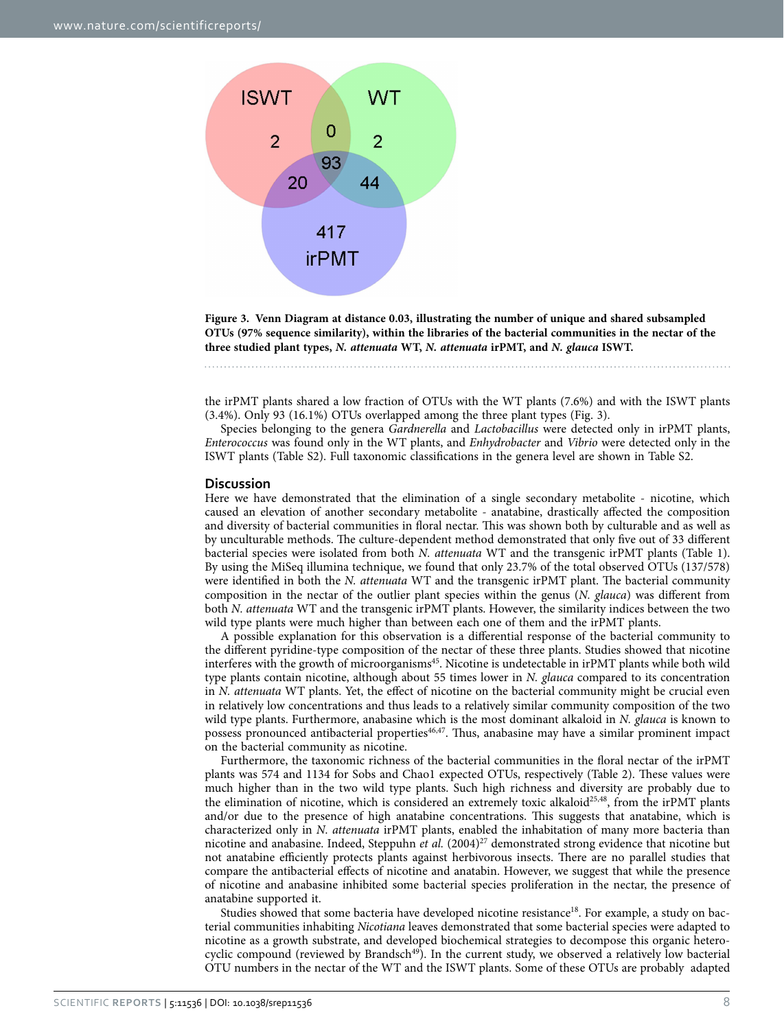

<span id="page-7-0"></span>**Figure 3. Venn Diagram at distance 0.03, illustrating the number of unique and shared subsampled OTUs (97% sequence similarity), within the libraries of the bacterial communities in the nectar of the three studied plant types,** *N. attenuata* **WT,** *N. attenuata* **irPMT, and** *N. glauca* **ISWT.** 

the irPMT plants shared a low fraction of OTUs with the WT plants (7.6%) and with the ISWT plants (3.4%). Only 93 (16.1%) OTUs overlapped among the three plant types ([Fig. 3](#page-7-0)).

Species belonging to the genera *Gardnerella* and *Lactobacillus* were detected only in irPMT plants, *Enterococcus* was found only in the WT plants, and *Enhydrobacter* and *Vibrio* were detected only in the ISWT plants (Table S2). Full taxonomic classifications in the genera level are shown in Table S2.

#### **Discussion**

Here we have demonstrated that the elimination of a single secondary metabolite - nicotine, which caused an elevation of another secondary metabolite - anatabine, drastically affected the composition and diversity of bacterial communities in floral nectar. This was shown both by culturable and as well as by unculturable methods. The culture-dependent method demonstrated that only five out of 33 different bacterial species were isolated from both *N. attenuata* WT and the transgenic irPMT plants [\(Table 1](#page-4-0)). By using the MiSeq illumina technique, we found that only 23.7% of the total observed OTUs (137/578) were identified in both the *N. attenuata* WT and the transgenic irPMT plant. The bacterial community composition in the nectar of the outlier plant species within the genus (*N. glauca*) was different from both *N. attenuata* WT and the transgenic irPMT plants. However, the similarity indices between the two wild type plants were much higher than between each one of them and the irPMT plants.

A possible explanation for this observation is a differential response of the bacterial community to the different pyridine-type composition of the nectar of these three plants. Studies showed that nicotine interferes with the growth of microorganisms<sup>45</sup>. Nicotine is undetectable in irPMT plants while both wild type plants contain nicotine, although about 55 times lower in *N. glauca* compared to its concentration in *N. attenuata* WT plants. Yet, the effect of nicotine on the bacterial community might be crucial even in relatively low concentrations and thus leads to a relatively similar community composition of the two wild type plants. Furthermore, anabasine which is the most dominant alkaloid in *N. glauca* is known to possess pronounced antibacterial propertie[s46](#page-9-30)[,47](#page-9-31). Thus, anabasine may have a similar prominent impact on the bacterial community as nicotine.

Furthermore, the taxonomic richness of the bacterial communities in the floral nectar of the irPMT plants was 574 and 1134 for Sobs and Chao1 expected OTUs, respectively [\(Table 2](#page-5-1)). These values were much higher than in the two wild type plants. Such high richness and diversity are probably due to the elimination of nicotine, which is considered an extremely toxic alkaloid<sup>25[,48](#page-9-32)</sup>, from the irPMT plants and/or due to the presence of high anatabine concentrations. This suggests that anatabine, which is characterized only in *N. attenuata* irPMT plants, enabled the inhabitation of many more bacteria than nicotine and anabasine. Indeed, Steppuhn *et al.* (2004)<sup>[27](#page-9-11)</sup> demonstrated strong evidence that nicotine but not anatabine efficiently protects plants against herbivorous insects. There are no parallel studies that compare the antibacterial effects of nicotine and anatabin. However, we suggest that while the presence of nicotine and anabasine inhibited some bacterial species proliferation in the nectar, the presence of anatabine supported it.

Studies showed that some bacteria have developed nicotine resistance<sup>[18](#page-9-2)</sup>. For example, a study on bacterial communities inhabiting *Nicotiana* leaves demonstrated that some bacterial species were adapted to nicotine as a growth substrate, and developed biochemical strategies to decompose this organic heterocyclic compound (reviewed by Brandsch<sup>49</sup>). In the current study, we observed a relatively low bacterial OTU numbers in the nectar of the WT and the ISWT plants. Some of these OTUs are probably adapted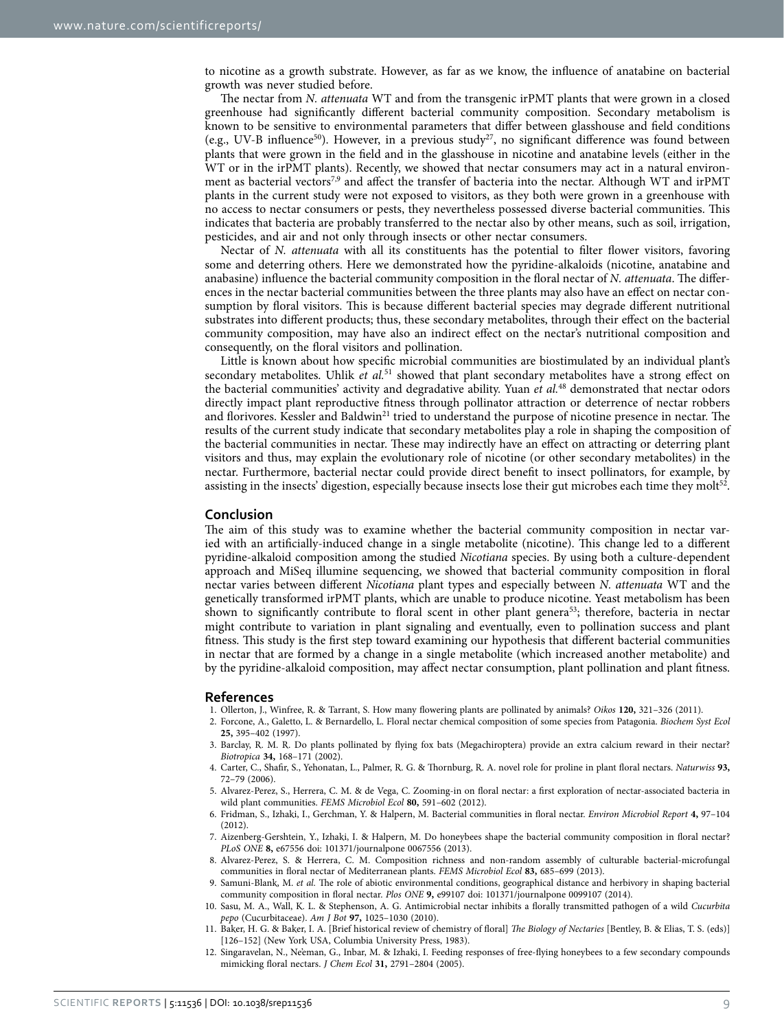to nicotine as a growth substrate. However, as far as we know, the influence of anatabine on bacterial growth was never studied before.

The nectar from *N. attenuata* WT and from the transgenic irPMT plants that were grown in a closed greenhouse had significantly different bacterial community composition. Secondary metabolism is known to be sensitive to environmental parameters that differ between glasshouse and field conditions (e.g., UV-B influence<sup>50</sup>). However, in a previous study<sup>27</sup>, no significant difference was found between plants that were grown in the field and in the glasshouse in nicotine and anatabine levels (either in the WT or in the irPMT plants). Recently, we showed that nectar consumers may act in a natural environment as bacterial vectors<sup>7,9</sup> and affect the transfer of bacteria into the nectar. Although WT and irPMT plants in the current study were not exposed to visitors, as they both were grown in a greenhouse with no access to nectar consumers or pests, they nevertheless possessed diverse bacterial communities. This indicates that bacteria are probably transferred to the nectar also by other means, such as soil, irrigation, pesticides, and air and not only through insects or other nectar consumers.

Nectar of *N. attenuata* with all its constituents has the potential to filter flower visitors, favoring some and deterring others. Here we demonstrated how the pyridine-alkaloids (nicotine, anatabine and anabasine) influence the bacterial community composition in the floral nectar of *N. attenuata*. The differences in the nectar bacterial communities between the three plants may also have an effect on nectar consumption by floral visitors. This is because different bacterial species may degrade different nutritional substrates into different products; thus, these secondary metabolites, through their effect on the bacterial community composition, may have also an indirect effect on the nectar's nutritional composition and consequently, on the floral visitors and pollination.

Little is known about how specific microbial communities are biostimulated by an individual plant's secondary metabolites. Uhlik *et al.*[51](#page-9-35) showed that plant secondary metabolites have a strong effect on the bacterial communities' activity and degradative ability. Yuan *et al.*[48](#page-9-32) demonstrated that nectar odors directly impact plant reproductive fitness through pollinator attraction or deterrence of nectar robbers and florivores. Kessler and Baldwin<sup>21</sup> tried to understand the purpose of nicotine presence in nectar. The results of the current study indicate that secondary metabolites play a role in shaping the composition of the bacterial communities in nectar. These may indirectly have an effect on attracting or deterring plant visitors and thus, may explain the evolutionary role of nicotine (or other secondary metabolites) in the nectar. Furthermore, bacterial nectar could provide direct benefit to insect pollinators, for example, by assisting in the insects' digestion, especially because insects lose their gut microbes each time they molt<sup>[52](#page-9-35)</sup>.

#### **Conclusion**

The aim of this study was to examine whether the bacterial community composition in nectar varied with an artificially-induced change in a single metabolite (nicotine). This change led to a different pyridine-alkaloid composition among the studied *Nicotiana* species. By using both a culture-dependent approach and MiSeq illumine sequencing, we showed that bacterial community composition in floral nectar varies between different *Nicotiana* plant types and especially between *N. attenuata* WT and the genetically transformed irPMT plants, which are unable to produce nicotine. Yeast metabolism has been shown to significantly contribute to floral scent in other plant genera<sup>[53](#page-9-36)</sup>; therefore, bacteria in nectar might contribute to variation in plant signaling and eventually, even to pollination success and plant fitness. This study is the first step toward examining our hypothesis that different bacterial communities in nectar that are formed by a change in a single metabolite (which increased another metabolite) and by the pyridine-alkaloid composition, may affect nectar consumption, plant pollination and plant fitness.

#### **References**

- <span id="page-8-0"></span>1. Ollerton, J., Winfree, R. & Tarrant, S. How many flowering plants are pollinated by animals? *Oikos* **120,** 321–326 (2011).
- <span id="page-8-1"></span>2. Forcone, A., Galetto, L. & Bernardello, L. Floral nectar chemical composition of some species from Patagonia. *Biochem Syst Ecol* **25,** 395–402 (1997).
- <span id="page-8-2"></span>3. Barclay, R. M. R. Do plants pollinated by flying fox bats (Megachiroptera) provide an extra calcium reward in their nectar? *Biotropica* **34,** 168–171 (2002).
- <span id="page-8-3"></span>4. Carter, C., Shafir, S., Yehonatan, L., Palmer, R. G. & Thornburg, R. A. novel role for proline in plant floral nectars. *Naturwiss* **93,** 72–79 (2006).
- <span id="page-8-4"></span>5. Alvarez-Perez, S., Herrera, C. M. & de Vega, C. Zooming-in on floral nectar: a first exploration of nectar-associated bacteria in wild plant communities. *FEMS Microbiol Ecol* **80,** 591–602 (2012).
- 6. Fridman, S., Izhaki, I., Gerchman, Y. & Halpern, M. Bacterial communities in floral nectar. *Environ Microbiol Report* **4,** 97–104 (2012).
- <span id="page-8-7"></span>7. Aizenberg-Gershtein, Y., Izhaki, I. & Halpern, M. Do honeybees shape the bacterial community composition in floral nectar? *PLoS ONE* **8,** e67556 doi: 101371/journalpone 0067556 (2013).
- 8. Alvarez-Perez, S. & Herrera, C. M. Composition richness and non-random assembly of culturable bacterial-microfungal communities in floral nectar of Mediterranean plants. *FEMS Microbiol Ecol* **83,** 685–699 (2013).
- <span id="page-8-8"></span>9. Samuni-Blank, M. *et al.* The role of abiotic environmental conditions, geographical distance and herbivory in shaping bacterial community composition in floral nectar. *Plos ONE* **9,** e99107 doi: 101371/journalpone 0099107 (2014).
- <span id="page-8-5"></span>10. Sasu, M. A., Wall, K. L. & Stephenson, A. G. Antimicrobial nectar inhibits a florally transmitted pathogen of a wild *Cucurbita pepo* (Cucurbitaceae). *Am J Bot* **97,** 1025–1030 (2010).
- <span id="page-8-6"></span>11. Baker, H. G. & Baker, I. A. [Brief historical review of chemistry of floral] *The Biology of Nectaries* [Bentley, B. & Elias, T. S. (eds)] [126–152] (New York USA, Columbia University Press, 1983).
- <span id="page-8-9"></span>12. Singaravelan, N., Ne'eman, G., Inbar, M. & Izhaki, I. Feeding responses of free-flying honeybees to a few secondary compounds mimicking floral nectars. *J Chem Ecol* **31,** 2791–2804 (2005).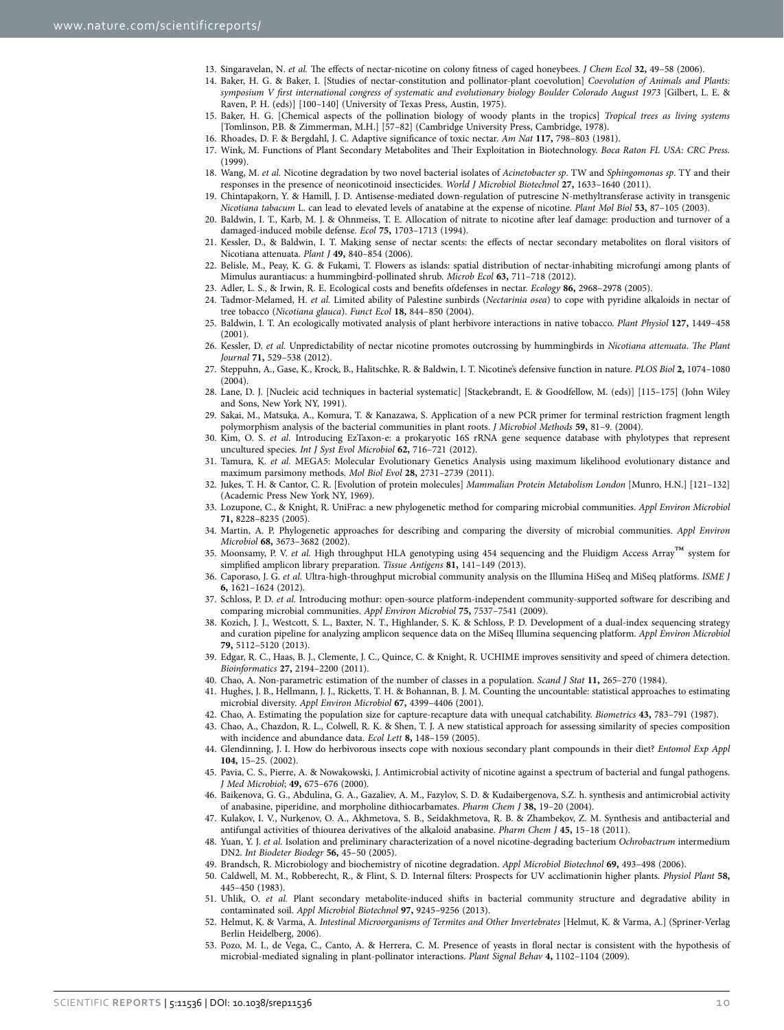- 13. Singaravelan, N. *et al.* The effects of nectar-nicotine on colony fitness of caged honeybees. *J Chem Ecol* **32,** 49–58 (2006).
- <span id="page-9-0"></span>14. Baker, H. G. & Baker, I. [Studies of nectar-constitution and pollinator-plant coevolution] *Coevolution of Animals and Plants: symposium V first international congress of systematic and evolutionary biology Boulder Colorado August 1973* [Gilbert, L. E. & Raven, P. H. (eds)] [100–140] (University of Texas Press, Austin, 1975).
- 15. Baker, H. G. [Chemical aspects of the pollination biology of woody plants in the tropics] *Tropical trees as living systems* [Tomlinson, P.B. & Zimmerman, M.H.] [57–82] (Cambridge University Press, Cambridge, 1978).
- 16. Rhoades, D. F. & Bergdahl, J. C. Adaptive significance of toxic nectar. *Am Nat* **117,** 798–803 (1981).
- <span id="page-9-1"></span>17. Wink, M. Functions of Plant Secondary Metabolites and Their Exploitation in Biotechnology. *Boca Raton FL USA: CRC Press.* (1999).
- <span id="page-9-2"></span>18. Wang, M. *et al.* Nicotine degradation by two novel bacterial isolates of *Acinetobacter sp*. TW and *Sphingomonas sp*. TY and their responses in the presence of neonicotinoid insecticides. *World J Microbiol Biotechnol* **27,** 1633–1640 (2011).
- <span id="page-9-3"></span>19. Chintapakorn, Y. & Hamill, J. D. Antisense-mediated down-regulation of putrescine N-methyltransferase activity in transgenic *Nicotiana tabacum* L. can lead to elevated levels of anatabine at the expense of nicotine. *Plant Mol Biol* **53,** 87–105 (2003).
- <span id="page-9-4"></span>20. Baldwin, I. T., Karb, M. J. & Ohnmeiss, T. E. Allocation of nitrate to nicotine after leaf damage: production and turnover of a damaged-induced mobile defense. *Ecol* **75,** 1703–1713 (1994).
- <span id="page-9-5"></span>21. Kessler, D., & Baldwin, I. T. Making sense of nectar scents: the effects of nectar secondary metabolites on floral visitors of Nicotiana attenuata. *Plant J* **49,** 840–854 (2006).
- <span id="page-9-6"></span>22. Belisle, M., Peay, K. G. & Fukami, T. Flowers as islands: spatial distribution of nectar-inhabiting microfungi among plants of Mimulus aurantiacus: a hummingbird-pollinated shrub. *Microb Ecol* **63,** 711–718 (2012).
- <span id="page-9-7"></span>23. Adler, L. S., & Irwin, R. E. Ecological costs and benefits ofdefenses in nectar. *Ecology* **86,** 2968–2978 (2005).
- <span id="page-9-8"></span>24. Tadmor-Melamed, H. *et al.* Limited ability of Palestine sunbirds (*Nectarinia osea*) to cope with pyridine alkaloids in nectar of tree tobacco (*Nicotiana glauca*). *Funct Ecol* **18,** 844–850 (2004).
- <span id="page-9-9"></span>25. Baldwin, I. T. An ecologically motivated analysis of plant herbivore interactions in native tobacco. *Plant Physiol* **127,** 1449–458 (2001).
- <span id="page-9-10"></span>26. Kessler, D. *et al.* Unpredictability of nectar nicotine promotes outcrossing by hummingbirds in *Nicotiana attenuata*. *The Plant Journal* **71,** 529–538 (2012).
- <span id="page-9-11"></span>27. Steppuhn, A., Gase, K., Krock, B., Halitschke, R. & Baldwin, I. T. Nicotine's defensive function in nature. *PLOS Biol* **2,** 1074–1080 (2004).
- <span id="page-9-12"></span>28. Lane, D. J. [Nucleic acid techniques in bacterial systematic] [Stackebrandt, E. & Goodfellow, M. (eds)] [115–175] (John Wiley and Sons, New York NY, 1991).
- <span id="page-9-13"></span>29. Sakai, M., Matsuka, A., Komura, T. & Kanazawa, S. Application of a new PCR primer for terminal restriction fragment length polymorphism analysis of the bacterial communities in plant roots. *J Microbiol Methods* **59,** 81–9. (2004).
- <span id="page-9-14"></span>30. Kim, O. S. *et al.* Introducing EzTaxon-e: a prokaryotic 16S rRNA gene sequence database with phylotypes that represent uncultured species. *Int J Syst Evol Microbiol* **62,** 716–721 (2012).
- <span id="page-9-15"></span>31. Tamura, K. *et al.* MEGA5: Molecular Evolutionary Genetics Analysis using maximum likelihood evolutionary distance and maximum parsimony methods. *Mol Biol Evol* **28,** 2731–2739 (2011).
- <span id="page-9-16"></span>32. Jukes, T. H. & Cantor, C. R. [Evolution of protein molecules] *Mammalian Protein Metabolism London* [Munro, H.N.] [121–132] (Academic Press New York NY, 1969).
- <span id="page-9-17"></span>33. Lozupone, C., & Knight, R. UniFrac: a new phylogenetic method for comparing microbial communities. *Appl Environ Microbiol* **71,** 8228–8235 (2005).
- <span id="page-9-18"></span>34. Martin, A. P. Phylogenetic approaches for describing and comparing the diversity of microbial communities. *Appl Environ Microbiol* **68,** 3673–3682 (2002).
- <span id="page-9-19"></span>35. Moonsamy, P. V. *et al.* High throughput HLA genotyping using 454 sequencing and the Fluidigm Access Array™ system for simplified amplicon library preparation. *Tissue Antigens* **81,** 141–149 (2013).
- <span id="page-9-20"></span>36. Caporaso, J. G. *et al.* Ultra-high-throughput microbial community analysis on the Illumina HiSeq and MiSeq platforms. *ISME J* **6,** 1621–1624 (2012).
- <span id="page-9-21"></span>37. Schloss, P. D. *et al.* Introducing mothur: open-source platform-independent community-supported software for describing and comparing microbial communities. *Appl Environ Microbiol* **75,** 7537–7541 (2009).
- <span id="page-9-22"></span>38. Kozich, J. J., Westcott, S. L., Baxter, N. T., Highlander, S. K. & Schloss, P. D. Development of a dual-index sequencing strategy and curation pipeline for analyzing amplicon sequence data on the MiSeq Illumina sequencing platform. *Appl Environ Microbiol* **79,** 5112–5120 (2013).
- <span id="page-9-23"></span>39. Edgar, R. C., Haas, B. J., Clemente, J. C., Quince, C. & Knight, R. UCHIME improves sensitivity and speed of chimera detection. *Bioinformatics* **27,** 2194–2200 (2011).
- <span id="page-9-25"></span><span id="page-9-24"></span>40. Chao, A. Non-parametric estimation of the number of classes in a population. *Scand J Stat* **11,** 265–270 (1984).
- 41. Hughes, J. B., Hellmann, J. J., Ricketts, T. H. & Bohannan, B. J. M. Counting the uncountable: statistical approaches to estimating microbial diversity. *Appl Environ Microbiol* **67,** 4399–4406 (2001).
- <span id="page-9-26"></span>42. Chao, A. Estimating the population size for capture-recapture data with unequal catchability. *Biometrics* **43,** 783–791 (1987).
- <span id="page-9-27"></span>43. Chao, A., Chazdon, R. L., Colwell, R. K. & Shen, T. J. A new statistical approach for assessing similarity of species composition with incidence and abundance data. *Ecol Lett* **8,** 148–159 (2005).
- <span id="page-9-28"></span>44. Glendinning, J. I. How do herbivorous insects cope with noxious secondary plant compounds in their diet? *Entomol Exp Appl* **104,** 15–25. (2002).
- <span id="page-9-29"></span>45. Pavia, C. S., Pierre, A. & Nowakowski, J. Antimicrobial activity of nicotine against a spectrum of bacterial and fungal pathogens. *J Med Microbiol*; **49,** 675–676 (2000).
- <span id="page-9-30"></span>46. Baikenova, G. G., Abdulina, G. A., Gazaliev, A. M., Fazylov, S. D. & Kudaibergenova, S.Z. h. synthesis and antimicrobial activity of anabasine, piperidine, and morpholine dithiocarbamates. *Pharm Chem J* **38,** 19–20 (2004).
- <span id="page-9-31"></span>47. Kulakov, I. V., Nurkenov, O. A., Akhmetova, S. B., Seidakhmetova, R. B. & Zhambekov, Z. M. Synthesis and antibacterial and antifungal activities of thiourea derivatives of the alkaloid anabasine. *Pharm Chem J* **45,** 15–18 (2011).
- <span id="page-9-32"></span>48. Yuan, Y. J. *et al.* Isolation and preliminary characterization of a novel nicotine-degrading bacterium *Ochrobactrum* intermedium DN2. *Int Biodeter Biodegr* **56,** 45–50 (2005).
- <span id="page-9-33"></span>49. Brandsch, R. Microbiology and biochemistry of nicotine degradation. *Appl Microbiol Biotechnol* **69,** 493–498 (2006).
- <span id="page-9-34"></span>50. Caldwell, M. M., Robberecht, R., & Flint, S. D. Internal filters: Prospects for UV acclimationin higher plants. *Physiol Plant* **58,** 445–450 (1983).
- <span id="page-9-35"></span>51. Uhlik, O. *et al.* Plant secondary metabolite-induced shifts in bacterial community structure and degradative ability in contaminated soil. *Appl Microbiol Biotechnol* **97,** 9245–9256 (2013).
- 52. Helmut, K. & Varma, A. *Intestinal Microorganisms of Termites and Other Invertebrates* [Helmut, K. & Varma, A.] (Spriner-Verlag Berlin Heidelberg, 2006).
- <span id="page-9-36"></span>53. Pozo, M. I., de Vega, C., Canto, A. & Herrera, C. M. Presence of yeasts in floral nectar is consistent with the hypothesis of microbial-mediated signaling in plant-pollinator interactions. *Plant Signal Behav* **4,** 1102–1104 (2009).